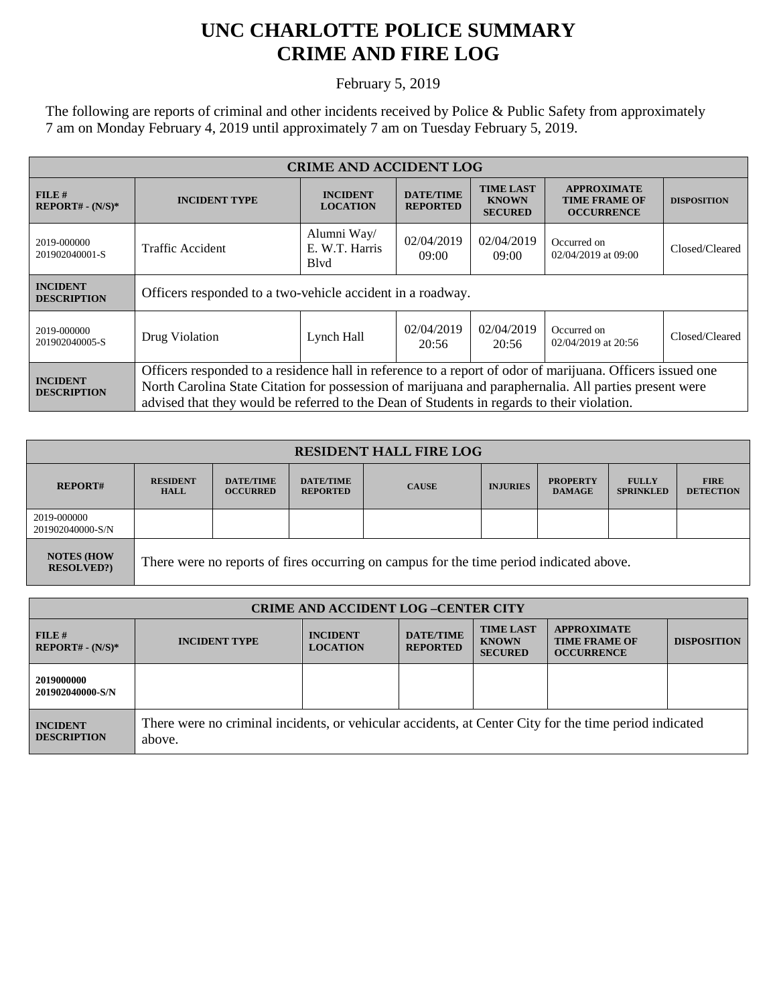## **UNC CHARLOTTE POLICE SUMMARY CRIME AND FIRE LOG**

February 5, 2019

The following are reports of criminal and other incidents received by Police & Public Safety from approximately 7 am on Monday February 4, 2019 until approximately 7 am on Tuesday February 5, 2019.

| <b>CRIME AND ACCIDENT LOG</b>         |                                                                                                                                                                                                                                                                                                                  |                                       |                                     |                                                    |                                                                 |                    |
|---------------------------------------|------------------------------------------------------------------------------------------------------------------------------------------------------------------------------------------------------------------------------------------------------------------------------------------------------------------|---------------------------------------|-------------------------------------|----------------------------------------------------|-----------------------------------------------------------------|--------------------|
| $FILE$ #<br>$REPORT# - (N/S)*$        | <b>INCIDENT TYPE</b>                                                                                                                                                                                                                                                                                             | <b>INCIDENT</b><br><b>LOCATION</b>    | <b>DATE/TIME</b><br><b>REPORTED</b> | <b>TIME LAST</b><br><b>KNOWN</b><br><b>SECURED</b> | <b>APPROXIMATE</b><br><b>TIME FRAME OF</b><br><b>OCCURRENCE</b> | <b>DISPOSITION</b> |
| 2019-000000<br>201902040001-S         | <b>Traffic Accident</b>                                                                                                                                                                                                                                                                                          | Alumni Way/<br>E. W.T. Harris<br>Blvd | 02/04/2019<br>09:00                 | 02/04/2019<br>09:00                                | Occurred on<br>02/04/2019 at 09:00                              | Closed/Cleared     |
| <b>INCIDENT</b><br><b>DESCRIPTION</b> | Officers responded to a two-vehicle accident in a roadway.                                                                                                                                                                                                                                                       |                                       |                                     |                                                    |                                                                 |                    |
| 2019-000000<br>201902040005-S         | Drug Violation                                                                                                                                                                                                                                                                                                   | Lynch Hall                            | 02/04/2019<br>20:56                 | 02/04/2019<br>20:56                                | Occurred on<br>02/04/2019 at 20:56                              | Closed/Cleared     |
| <b>INCIDENT</b><br><b>DESCRIPTION</b> | Officers responded to a residence hall in reference to a report of odor of marijuana. Officers issued one<br>North Carolina State Citation for possession of marijuana and paraphernalia. All parties present were<br>advised that they would be referred to the Dean of Students in regards to their violation. |                                       |                                     |                                                    |                                                                 |                    |

| <b>RESIDENT HALL FIRE LOG</b>           |                                                                                         |                                     |                                     |              |                 |                                  |                                  |                                 |
|-----------------------------------------|-----------------------------------------------------------------------------------------|-------------------------------------|-------------------------------------|--------------|-----------------|----------------------------------|----------------------------------|---------------------------------|
| <b>REPORT#</b>                          | <b>RESIDENT</b><br><b>HALL</b>                                                          | <b>DATE/TIME</b><br><b>OCCURRED</b> | <b>DATE/TIME</b><br><b>REPORTED</b> | <b>CAUSE</b> | <b>INJURIES</b> | <b>PROPERTY</b><br><b>DAMAGE</b> | <b>FULLY</b><br><b>SPRINKLED</b> | <b>FIRE</b><br><b>DETECTION</b> |
| 2019-000000<br>201902040000-S/N         |                                                                                         |                                     |                                     |              |                 |                                  |                                  |                                 |
| <b>NOTES (HOW)</b><br><b>RESOLVED?)</b> | There were no reports of fires occurring on campus for the time period indicated above. |                                     |                                     |              |                 |                                  |                                  |                                 |

| <b>CRIME AND ACCIDENT LOG-CENTER CITY</b> |                                                                                                                  |                                    |                                     |                                                    |                                                                 |                    |
|-------------------------------------------|------------------------------------------------------------------------------------------------------------------|------------------------------------|-------------------------------------|----------------------------------------------------|-----------------------------------------------------------------|--------------------|
| FILE H<br>$REPORT# - (N/S)*$              | <b>INCIDENT TYPE</b>                                                                                             | <b>INCIDENT</b><br><b>LOCATION</b> | <b>DATE/TIME</b><br><b>REPORTED</b> | <b>TIME LAST</b><br><b>KNOWN</b><br><b>SECURED</b> | <b>APPROXIMATE</b><br><b>TIME FRAME OF</b><br><b>OCCURRENCE</b> | <b>DISPOSITION</b> |
| 2019000000<br>201902040000-S/N            |                                                                                                                  |                                    |                                     |                                                    |                                                                 |                    |
| <b>INCIDENT</b><br><b>DESCRIPTION</b>     | There were no criminal incidents, or vehicular accidents, at Center City for the time period indicated<br>above. |                                    |                                     |                                                    |                                                                 |                    |